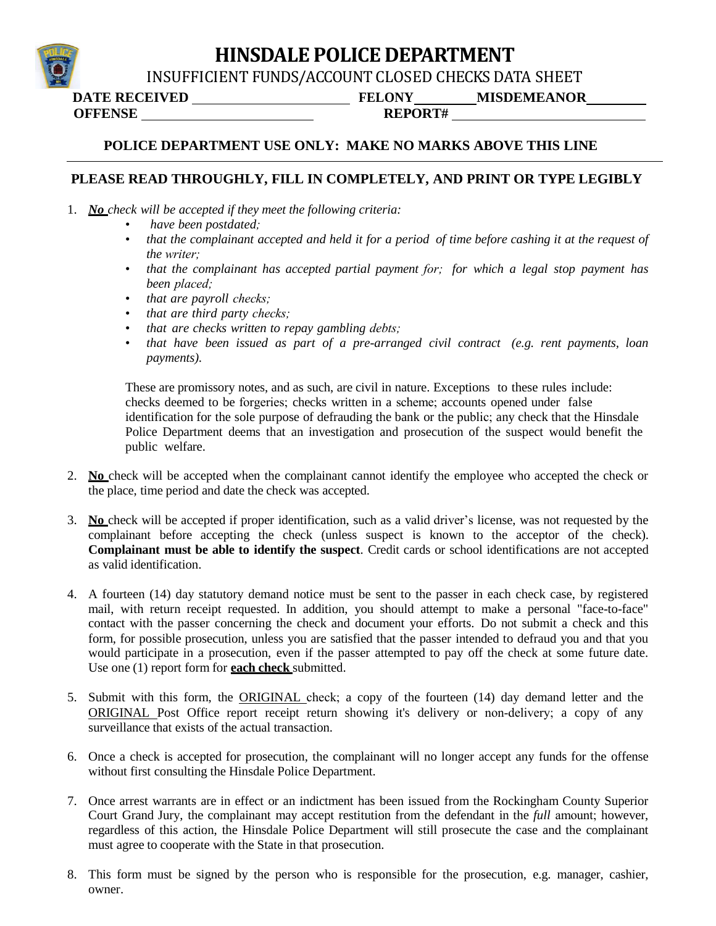## **HINSDALE POLICE DEPARTMENT**

INSUFFICIENT FUNDS/ACCOUNT CLOSED CHECKS DATA SHEET

**DATE RECEIVED FELONY MISDEMEANOR**

**OFFENSE**

**REPORT#**

#### **POLICE DEPARTMENT USE ONLY: MAKE NO MARKS ABOVE THIS LINE**

#### **PLEASE READ THROUGHLY, FILL IN COMPLETELY, AND PRINT OR TYPE LEGIBLY**

- 1. *No check will be accepted if they meet the following criteria:*
	- *have been postdated;*
	- that the complainant accepted and held it for a period of time before cashing it at the request of *the writer;*
	- *that the complainant has accepted partial payment for; for which a legal stop payment has been placed;*
	- *that are payroll checks;*
	- *that are third party checks;*
	- *that are checks written to repay gambling debts;*
	- *that have been issued as part of a pre-arranged civil contract (e.g. rent payments, loan payments).*

These are promissory notes, and as such, are civil in nature. Exceptions to these rules include: checks deemed to be forgeries; checks written in a scheme; accounts opened under false identification for the sole purpose of defrauding the bank or the public; any check that the Hinsdale Police Department deems that an investigation and prosecution of the suspect would benefit the public welfare.

- 2. **No** check will be accepted when the complainant cannot identify the employee who accepted the check or the place, time period and date the check was accepted.
- 3. **No** check will be accepted if proper identification, such as a valid driver's license, was not requested by the complainant before accepting the check (unless suspect is known to the acceptor of the check). **Complainant must be able to identify the suspect**. Credit cards or school identifications are not accepted as valid identification.
- 4. A fourteen (14) day statutory demand notice must be sent to the passer in each check case, by registered mail, with return receipt requested. In addition, you should attempt to make a personal "face-to-face" contact with the passer concerning the check and document your efforts. Do not submit a check and this form, for possible prosecution, unless you are satisfied that the passer intended to defraud you and that you would participate in a prosecution, even if the passer attempted to pay off the check at some future date. Use one (1) report form for **each check** submitted.
- 5. Submit with this form, the ORIGINAL check; a copy of the fourteen (14) day demand letter and the ORIGINAL Post Office report receipt return showing it's delivery or non-delivery; a copy of any surveillance that exists of the actual transaction.
- 6. Once a check is accepted for prosecution, the complainant will no longer accept any funds for the offense without first consulting the Hinsdale Police Department.
- 7. Once arrest warrants are in effect or an indictment has been issued from the Rockingham County Superior Court Grand Jury, the complainant may accept restitution from the defendant in the *full* amount; however, regardless of this action, the Hinsdale Police Department will still prosecute the case and the complainant must agree to cooperate with the State in that prosecution.
- 8. This form must be signed by the person who is responsible for the prosecution, e.g. manager, cashier, owner.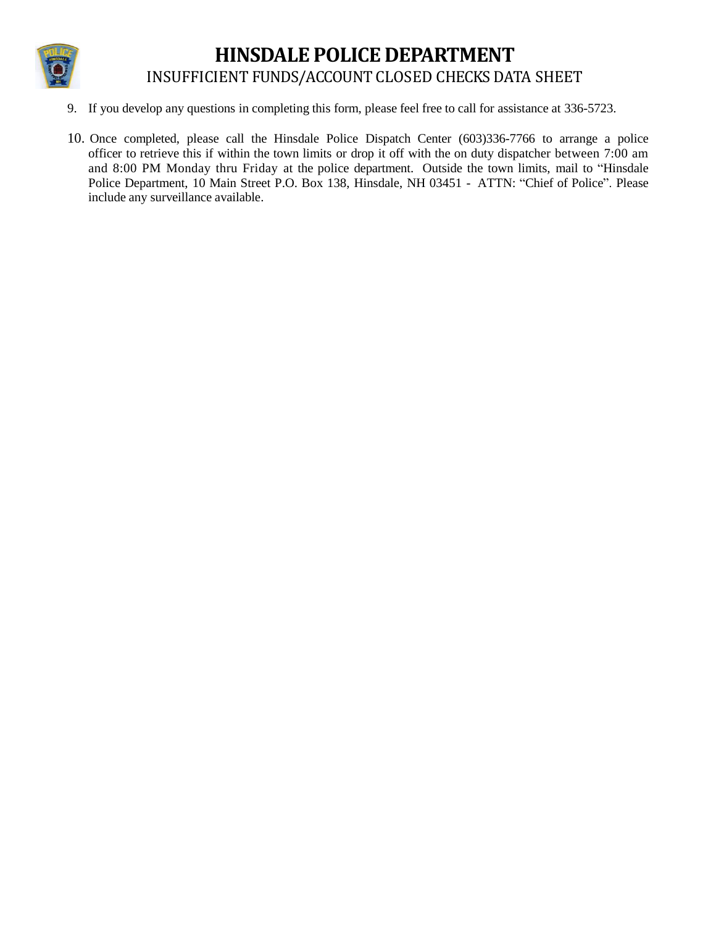

## **HINSDALE POLICE DEPARTMENT**  INSUFFICIENT FUNDS/ACCOUNT CLOSED CHECKS DATA SHEET

- 9. If you develop any questions in completing this form, please feel free to call for assistance at 336-5723.
- 10. Once completed, please call the Hinsdale Police Dispatch Center (603)336-7766 to arrange a police officer to retrieve this if within the town limits or drop it off with the on duty dispatcher between 7:00 am and 8:00 PM Monday thru Friday at the police department. Outside the town limits, mail to "Hinsdale Police Department, 10 Main Street P.O. Box 138, Hinsdale, NH 03451 - ATTN: "Chief of Police". Please include any surveillance available.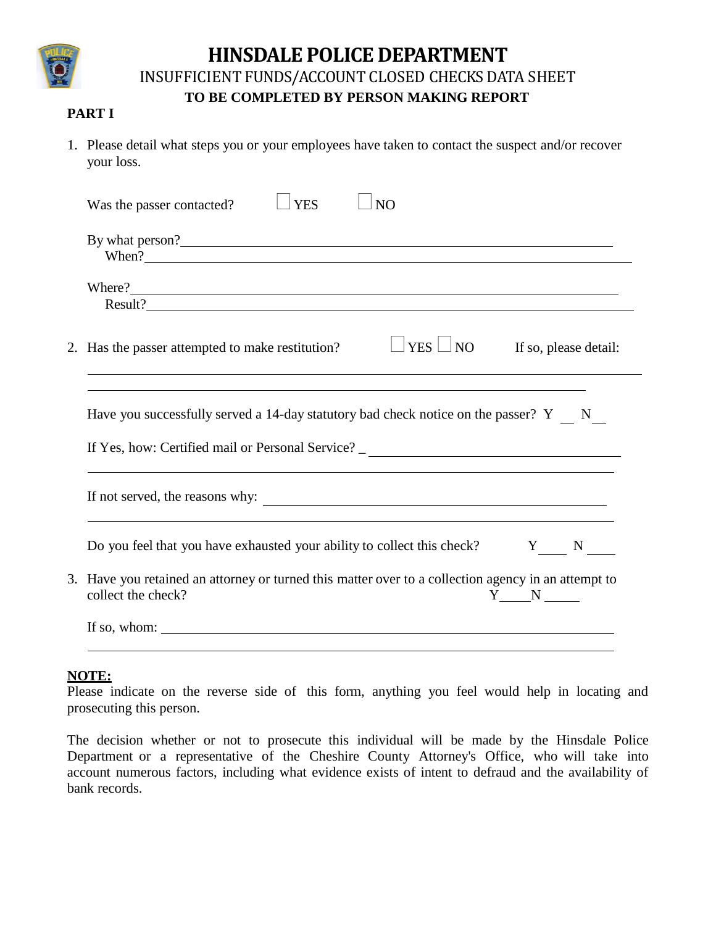

## **HINSDALE POLICE DEPARTMENT**

INSUFFICIENT FUNDS/ACCOUNT CLOSED CHECKS DATA SHEET

### **TO BE COMPLETED BY PERSON MAKING REPORT**

#### **PART I**

1. Please detail what steps you or your employees have taken to contact the suspect and/or recover your loss.

| <b>YES</b><br>N <sub>O</sub><br>Was the passer contacted?                                                                                                               |
|-------------------------------------------------------------------------------------------------------------------------------------------------------------------------|
| By what person?<br>When?                                                                                                                                                |
| Where?                                                                                                                                                                  |
| $YES \Box NO$<br>2. Has the passer attempted to make restitution?<br>If so, please detail:                                                                              |
| Have you successfully served a 14-day statutory bad check notice on the passer? Y N<br>If Yes, how: Certified mail or Personal Service? _______________________________ |
|                                                                                                                                                                         |
| Do you feel that you have exhausted your ability to collect this check? Y N                                                                                             |
| 3. Have you retained an attorney or turned this matter over to a collection agency in an attempt to<br>collect the check?<br>Y N                                        |
| If so, whom: $\sqrt{\frac{m}{m}}$                                                                                                                                       |

## **NOTE:**

Please indicate on the reverse side of this form, anything you feel would help in locating and prosecuting this person.

The decision whether or not to prosecute this individual will be made by the Hinsdale Police Department or a representative of the Cheshire County Attorney's Office, who will take into account numerous factors, including what evidence exists of intent to defraud and the availability of bank records.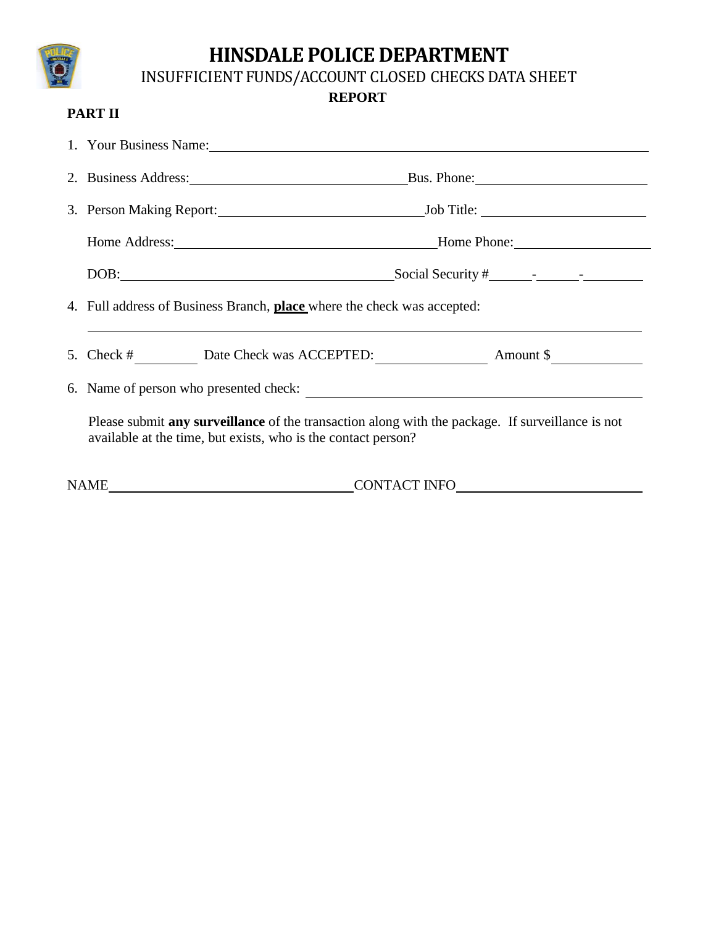# **HINSDALE POLICE DEPARTMENT**

INSUFFICIENT FUNDS/ACCOUNT CLOSED CHECKS DATA SHEET

**REPORT**

### **PART II**

|                                        |                                                                                                                                                                   | 1. Your Business Name: 2008. The Same State of the State of the State of the State of the State of the State of the State of the State of the State of the State of the State of the State of the State of the State of the St |  |  |  |
|----------------------------------------|-------------------------------------------------------------------------------------------------------------------------------------------------------------------|--------------------------------------------------------------------------------------------------------------------------------------------------------------------------------------------------------------------------------|--|--|--|
|                                        | 2. Business Address: Bus. Phone: Bus. Phone:                                                                                                                      |                                                                                                                                                                                                                                |  |  |  |
|                                        |                                                                                                                                                                   |                                                                                                                                                                                                                                |  |  |  |
|                                        |                                                                                                                                                                   |                                                                                                                                                                                                                                |  |  |  |
|                                        | DOB:                                                                                                                                                              |                                                                                                                                                                                                                                |  |  |  |
|                                        | 4. Full address of Business Branch, <b>place</b> where the check was accepted:                                                                                    |                                                                                                                                                                                                                                |  |  |  |
|                                        |                                                                                                                                                                   |                                                                                                                                                                                                                                |  |  |  |
| 6. Name of person who presented check: |                                                                                                                                                                   |                                                                                                                                                                                                                                |  |  |  |
|                                        | Please submit any surveillance of the transaction along with the package. If surveillance is not<br>available at the time, but exists, who is the contact person? |                                                                                                                                                                                                                                |  |  |  |
|                                        | <b>NAME</b>                                                                                                                                                       | CONTACT INFO                                                                                                                                                                                                                   |  |  |  |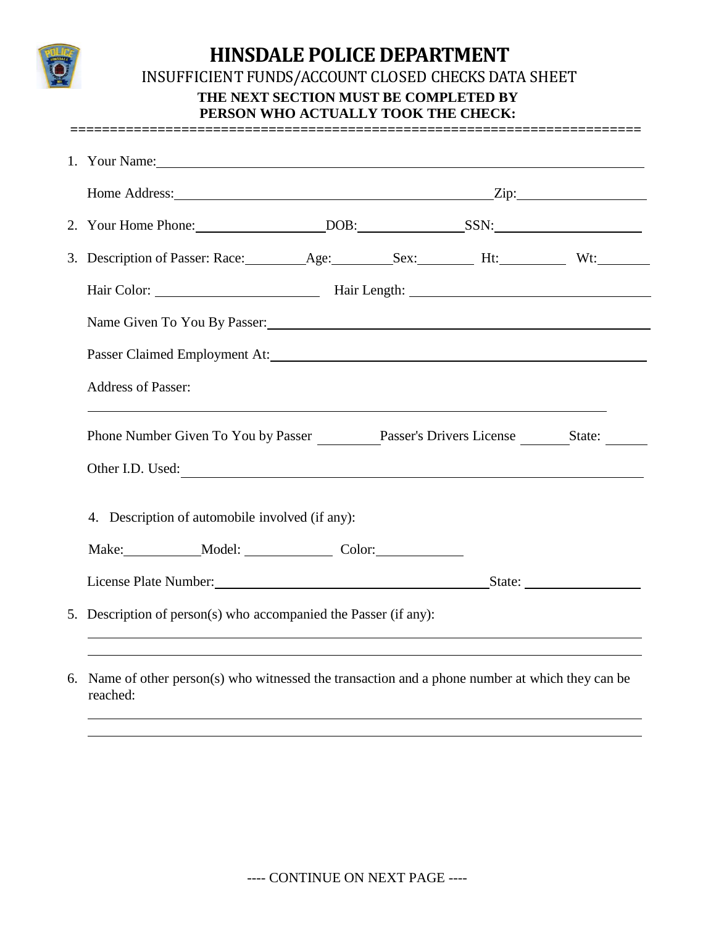

## **HINSDALE POLICE DEPARTMENT**  INSUFFICIENT FUNDS/ACCOUNT CLOSED CHECKS DATA SHEET **THE NEXT SECTION MUST BE COMPLETED BY PERSON WHO ACTUALLY TOOK THE CHECK:**

**========================================================================**

| 2. Your Home Phone: DOB: SSN:                                                    |  |  |  |  |  |
|----------------------------------------------------------------------------------|--|--|--|--|--|
|                                                                                  |  |  |  |  |  |
|                                                                                  |  |  |  |  |  |
| Name Given To You By Passer:                                                     |  |  |  |  |  |
|                                                                                  |  |  |  |  |  |
|                                                                                  |  |  |  |  |  |
| <b>Address of Passer:</b>                                                        |  |  |  |  |  |
| Phone Number Given To You by Passer Passer's Drivers License State:              |  |  |  |  |  |
| Other I.D. Used:                                                                 |  |  |  |  |  |
| 4. Description of automobile involved (if any):                                  |  |  |  |  |  |
| Make: _____________Model: ______________________Color: _________________________ |  |  |  |  |  |
| License Plate Number: State: State:                                              |  |  |  |  |  |

6. Name of other person(s) who witnessed the transaction and a phone number at which they can be reached: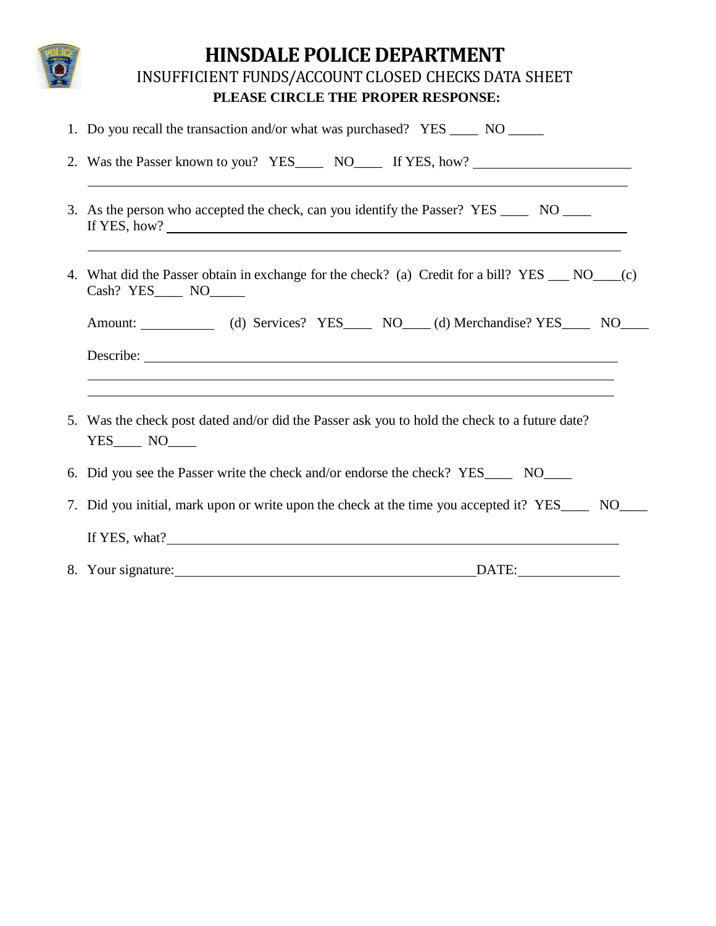| <b>HINSDALE POLICE DEPARTMENT</b><br>INSUFFICIENT FUNDS/ACCOUNT CLOSED CHECKS DATA SHEET<br>PLEASE CIRCLE THE PROPER RESPONSE:                                                                                    |  |  |  |  |
|-------------------------------------------------------------------------------------------------------------------------------------------------------------------------------------------------------------------|--|--|--|--|
| 1. Do you recall the transaction and/or what was purchased? YES _____ NO _____                                                                                                                                    |  |  |  |  |
| 2. Was the Passer known to you? YES_______ NO_______ If YES, how?<br>,我们也不会有什么。""我们的人,我们也不会有什么?""我们的人,我们也不会有什么?""我们的人,我们也不会有什么?""我们的人,我们也不会有什么?""我们的人                                                             |  |  |  |  |
| 3. As the person who accepted the check, can you identify the Passer? YES ______ NO _____                                                                                                                         |  |  |  |  |
| ,我们也不会有什么。""我们的人,我们也不会有什么?""我们的人,我们也不会有什么?""我们的人,我们也不会有什么?""我们的人,我们也不会有什么?""我们的人<br>4. What did the Passer obtain in exchange for the check? (a) Credit for a bill? YES __ NO___(c)<br>Cash? YES_______ NO_______ |  |  |  |  |
| Amount: (d) Services? YES NO (d) Merchandise? YES NO                                                                                                                                                              |  |  |  |  |
|                                                                                                                                                                                                                   |  |  |  |  |
|                                                                                                                                                                                                                   |  |  |  |  |
| 5. Was the check post dated and/or did the Passer ask you to hold the check to a future date?<br>YES NO                                                                                                           |  |  |  |  |
| 6. Did you see the Passer write the check and/or endorse the check? YES_______ NO______                                                                                                                           |  |  |  |  |
| 7. Did you initial, mark upon or write upon the check at the time you accepted it? YES____ NO___                                                                                                                  |  |  |  |  |
| If YES, what?                                                                                                                                                                                                     |  |  |  |  |
| 8. Your signature:<br>DATE:                                                                                                                                                                                       |  |  |  |  |